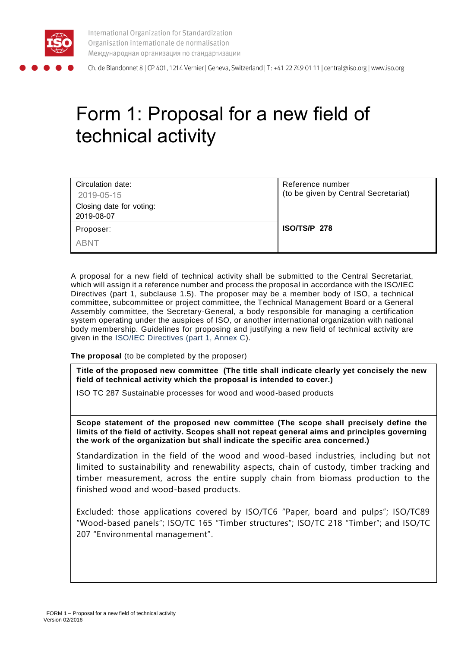

International Organization for Standardization Organisation internationale de normalisation Международная организация по стандартизации

Ch. de Blandonnet 8 | CP 401, 1214 Vernier | Geneva, Switzerland | T: +41 22 749 01 11 | central@iso.org | www.iso.org

# Form 1: Proposal for a new field of technical activity

| Circulation date:        | Reference number                     |
|--------------------------|--------------------------------------|
| 2019-05-15               | (to be given by Central Secretariat) |
| Closing date for voting: |                                      |
| 2019-08-07               |                                      |
| Proposer:                | ISO/TS/P 278                         |
| <b>ABNT</b>              |                                      |

A proposal for a new field of technical activity shall be submitted to the Central Secretariat, which will assign it a reference number and process the proposal in accordance with the ISO/IEC Directives (part 1, subclause 1.5). The proposer may be a member body of ISO, a technical committee, subcommittee or project committee, the Technical Management Board or a General Assembly committee, the Secretary-General, a body responsible for managing a certification system operating under the auspices of ISO, or another international organization with national body membership. Guidelines for proposing and justifying a new field of technical activity are given in the ISO/IEC Directives (part 1, Annex C).

**The proposal** (to be completed by the proposer)

**Title of the proposed new committee (The title shall indicate clearly yet concisely the new field of technical activity which the proposal is intended to cover.)**

ISO TC 287 Sustainable processes for wood and wood-based products

**Scope statement of the proposed new committee (The scope shall precisely define the limits of the field of activity. Scopes shall not repeat general aims and principles governing the work of the organization but shall indicate the specific area concerned.)**

Standardization in the field of the wood and wood-based industries, including but not limited to sustainability and renewability aspects, chain of custody, timber tracking and timber measurement, across the entire supply chain from biomass production to the finished wood and wood-based products.

Excluded: those applications covered by ISO/TC6 "Paper, board and pulps"; ISO/TC89 "Wood-based panels"; ISO/TC 165 "Timber structures"; ISO/TC 218 "Timber"; and ISO/TC 207 "Environmental management".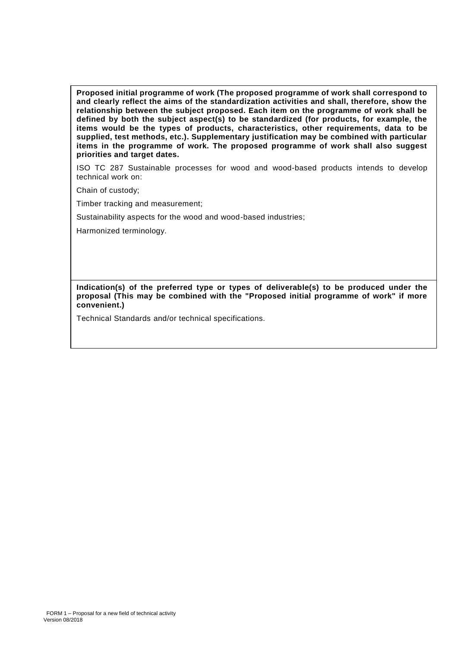**Proposed initial programme of work (The proposed programme of work shall correspond to and clearly reflect the aims of the standardization activities and shall, therefore, show the relationship between the subject proposed. Each item on the programme of work shall be defined by both the subject aspect(s) to be standardized (for products, for example, the items would be the types of products, characteristics, other requirements, data to be supplied, test methods, etc.). Supplementary justification may be combined with particular items in the programme of work. The proposed programme of work shall also suggest priorities and target dates.**

ISO TC 287 Sustainable processes for wood and wood-based products intends to develop technical work on:

Chain of custody;

Timber tracking and measurement;

Sustainability aspects for the wood and wood-based industries;

Harmonized terminology.

**Indication(s) of the preferred type or types of deliverable(s) to be produced under the proposal (This may be combined with the "Proposed initial programme of work" if more convenient.)**

Technical Standards and/or technical specifications.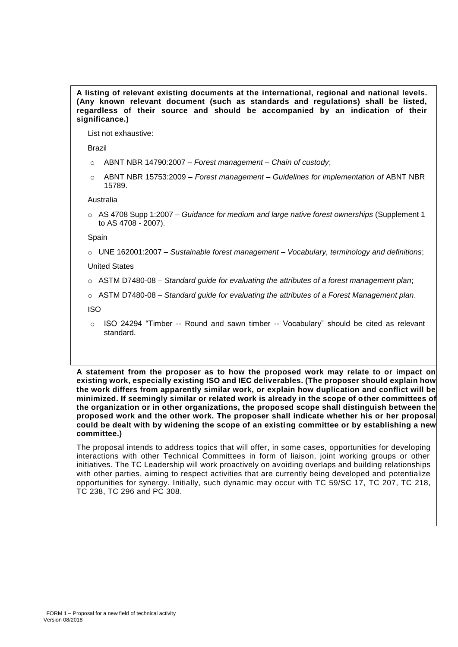**A listing of relevant existing documents at the international, regional and national levels. (Any known relevant document (such as standards and regulations) shall be listed, regardless of their source and should be accompanied by an indication of their significance.)**

List not exhaustive:

Brazil

- o ABNT NBR 14790:2007 *Forest management – Chain of custody*;
- o ABNT NBR 15753:2009 *Forest management – Guidelines for implementation of* ABNT NBR 15789.

Australia

o AS 4708 Supp 1:2007 – *Guidance for medium and large native forest ownerships* (Supplement 1 to AS 4708 - 2007).

Spain

o UNE 162001:2007 – *Sustainable forest management – Vocabulary, terminology and definitions*;

United States

o ASTM D7480-08 – *Standard guide for evaluating the attributes of a forest management plan*;

o ASTM D7480-08 – *Standard guide for evaluating the attributes of a Forest Management plan*.

ISO

 $\circ$  ISO 24294 "Timber -- Round and sawn timber -- Vocabulary" should be cited as relevant standard.

**A statement from the proposer as to how the proposed work may relate to or impact on existing work, especially existing ISO and IEC deliverables. (The proposer should explain how the work differs from apparently similar work, or explain how duplication and conflict will be minimized. If seemingly similar or related work is already in the scope of other committees of the organization or in other organizations, the proposed scope shall distinguish between the proposed work and the other work. The proposer shall indicate whether his or her proposal could be dealt with by widening the scope of an existing committee or by establishing a new committee.)**

The proposal intends to address topics that will offer, in some cases, opportunities for developing interactions with other Technical Committees in form of liaison, joint working groups or other initiatives. The TC Leadership will work proactively on avoiding overlaps and building relationships with other parties, aiming to respect activities that are currently being developed and potentialize opportunities for synergy. Initially, such dynamic may occur with TC 59/SC 17, TC 207, TC 218, TC 238, TC 296 and PC 308.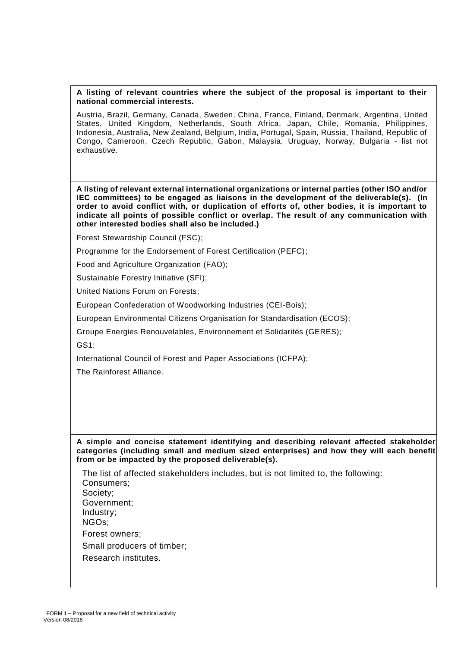#### **A listing of relevant countries where the subject of the proposal is important to their national commercial interests.**

Austria, Brazil, Germany, Canada, Sweden, China, France, Finland, Denmark, Argentina, United States, United Kingdom, Netherlands, South Africa, Japan, Chile, Romania, Philippines, Indonesia, Australia, New Zealand, Belgium, India, Portugal, Spain, Russia, Thailand, Republic of Congo, Cameroon, Czech Republic, Gabon, Malaysia, Uruguay, Norway, Bulgaria - list not exhaustive.

**A listing of relevant external international organizations or internal parties (other ISO and/or IEC committees) to be engaged as liaisons in the development of the deliverable(s). (In order to avoid conflict with, or duplication of efforts of, other bodies, it is important to indicate all points of possible conflict or overlap. The result of any communication with other interested bodies shall also be included.)**

Forest Stewardship Council (FSC);

Programme for the Endorsement of Forest Certification (PEFC);

Food and Agriculture Organization (FAO);

Sustainable Forestry Initiative (SFI);

United Nations Forum on Forests;

European Confederation of Woodworking Industries (CEI-Bois);

European Environmental Citizens Organisation for Standardisation (ECOS);

Groupe Energies Renouvelables, Environnement et Solidarités (GERES);

GS1;

International Council of Forest and Paper Associations (ICFPA);

The Rainforest Alliance.

#### **A simple and concise statement identifying and describing relevant affected stakeholder categories (including small and medium sized enterprises) and how they will each benefit from or be impacted by the proposed deliverable(s).**

The list of affected stakeholders includes, but is not limited to, the following: Consumers; Society; Government; Industry; NGOs; Forest owners; Small producers of timber; Research institutes.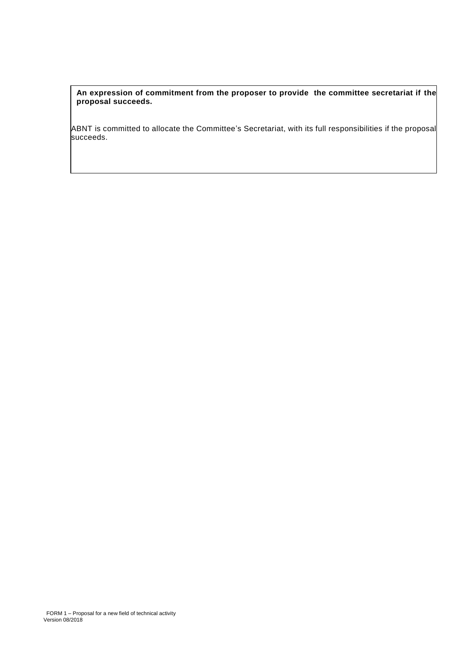**An expression of commitment from the proposer to provide the committee secretariat if the proposal succeeds.**

ABNT is committed to allocate the Committee's Secretariat, with its full responsibilities if the proposal succeeds.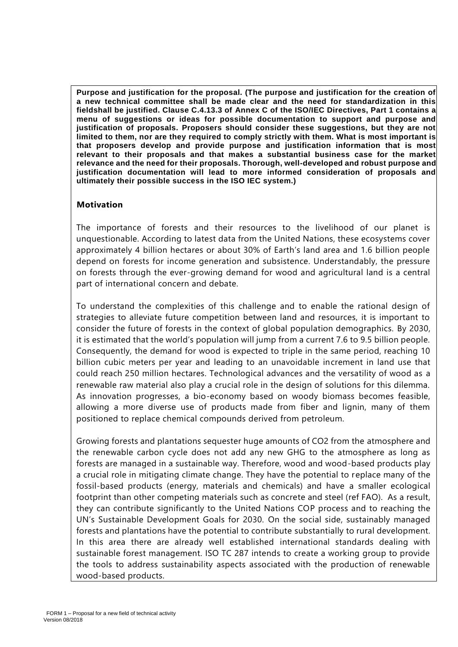**Purpose and justification for the proposal. (The purpose and justification for the creation of a new technical committee shall be made clear and the need for standardization in this fieldshall be justified. Clause C.4.13.3 of Annex C of the ISO/IEC Directives, Part 1 contains a menu of suggestions or ideas for possible documentation to support and purpose and justification of proposals. Proposers should consider these suggestions, but they are not limited to them, nor are they required to comply strictly with them. What is most important is that proposers develop and provide purpose and justification information that is most relevant to their proposals and that makes a substantial business case for the market relevance and the need for their proposals. Thorough, well-developed and robust purpose and justification documentation will lead to more informed consideration of proposals and ultimately their possible success in the ISO IEC system.)**

#### **Motivation**

The importance of forests and their resources to the livelihood of our planet is unquestionable. According to latest data from the United Nations, these ecosystems cover approximately 4 billion hectares or about 30% of Earth's land area and 1.6 billion people depend on forests for income generation and subsistence. Understandably, the pressure on forests through the ever-growing demand for wood and agricultural land is a central part of international concern and debate.

To understand the complexities of this challenge and to enable the rational design of strategies to alleviate future competition between land and resources, it is important to consider the future of forests in the context of global population demographics. By 2030, it is estimated that the world's population will jump from a current 7.6 to 9.5 billion people. Consequently, the demand for wood is expected to triple in the same period, reaching 10 billion cubic meters per year and leading to an unavoidable increment in land use that could reach 250 million hectares. Technological advances and the versatility of wood as a renewable raw material also play a crucial role in the design of solutions for this dilemma. As innovation progresses, a bio-economy based on woody biomass becomes feasible, allowing a more diverse use of products made from fiber and lignin, many of them positioned to replace chemical compounds derived from petroleum.

Growing forests and plantations sequester huge amounts of CO2 from the atmosphere and the renewable carbon cycle does not add any new GHG to the atmosphere as long as forests are managed in a sustainable way. Therefore, wood and wood-based products play a crucial role in mitigating climate change. They have the potential to replace many of the fossil-based products (energy, materials and chemicals) and have a smaller ecological footprint than other competing materials such as concrete and steel (ref FAO). As a result, they can contribute significantly to the United Nations COP process and to reaching the UN's Sustainable Development Goals for 2030. On the social side, sustainably managed forests and plantations have the potential to contribute substantially to rural development. In this area there are already well established international standards dealing with sustainable forest management. ISO TC 287 intends to create a working group to provide the tools to address sustainability aspects associated with the production of renewable wood-based products.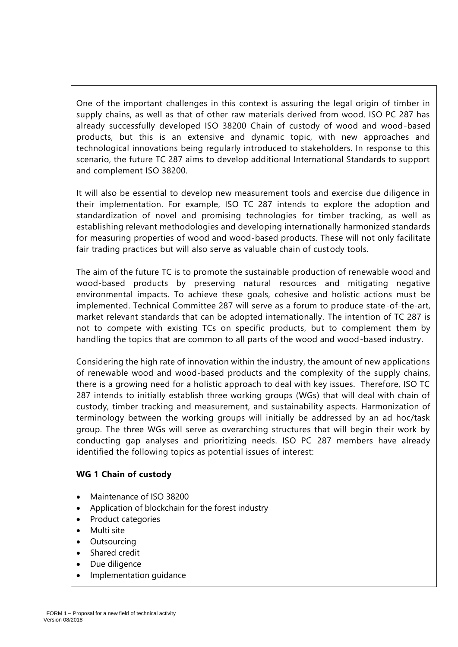One of the important challenges in this context is assuring the legal origin of timber in supply chains, as well as that of other raw materials derived from wood. ISO PC 287 has already successfully developed ISO 38200 Chain of custody of wood and wood-based products, but this is an extensive and dynamic topic, with new approaches and technological innovations being regularly introduced to stakeholders. In response to this scenario, the future TC 287 aims to develop additional International Standards to support and complement ISO 38200.

It will also be essential to develop new measurement tools and exercise due diligence in their implementation. For example, ISO TC 287 intends to explore the adoption and standardization of novel and promising technologies for timber tracking, as well as establishing relevant methodologies and developing internationally harmonized standards for measuring properties of wood and wood-based products. These will not only facilitate fair trading practices but will also serve as valuable chain of custody tools.

The aim of the future TC is to promote the sustainable production of renewable wood and wood-based products by preserving natural resources and mitigating negative environmental impacts. To achieve these goals, cohesive and holistic actions must be implemented. Technical Committee 287 will serve as a forum to produce state-of-the-art, market relevant standards that can be adopted internationally. The intention of TC 287 is not to compete with existing TCs on specific products, but to complement them by handling the topics that are common to all parts of the wood and wood-based industry.

Considering the high rate of innovation within the industry, the amount of new applications of renewable wood and wood-based products and the complexity of the supply chains, there is a growing need for a holistic approach to deal with key issues. Therefore, ISO TC 287 intends to initially establish three working groups (WGs) that will deal with chain of custody, timber tracking and measurement, and sustainability aspects. Harmonization of terminology between the working groups will initially be addressed by an ad hoc/task group. The three WGs will serve as overarching structures that will begin their work by conducting gap analyses and prioritizing needs. ISO PC 287 members have already identified the following topics as potential issues of interest:

## **WG 1 Chain of custody**

- Maintenance of ISO 38200
- Application of blockchain for the forest industry
- Product categories
- Multi site
- **Outsourcing**
- Shared credit
- Due diligence
- Implementation guidance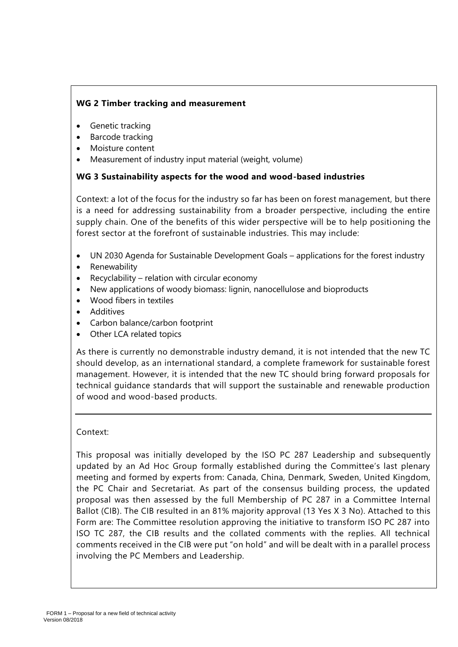## **WG 2 Timber tracking and measurement**

- Genetic tracking
- Barcode tracking
- Moisture content
- Measurement of industry input material (weight, volume)

## **WG 3 Sustainability aspects for the wood and wood-based industries**

Context: a lot of the focus for the industry so far has been on forest management, but there is a need for addressing sustainability from a broader perspective, including the entire supply chain. One of the benefits of this wider perspective will be to help positioning the forest sector at the forefront of sustainable industries. This may include:

- UN 2030 Agenda for Sustainable Development Goals applications for the forest industry
- Renewability
- Recyclability relation with circular economy
- New applications of woody biomass: lignin, nanocellulose and bioproducts
- Wood fibers in textiles
- Additives
- Carbon balance/carbon footprint
- Other LCA related topics

As there is currently no demonstrable industry demand, it is not intended that the new TC should develop, as an international standard, a complete framework for sustainable forest management. However, it is intended that the new TC should bring forward proposals for technical guidance standards that will support the sustainable and renewable production of wood and wood-based products.

#### Context:

This proposal was initially developed by the ISO PC 287 Leadership and subsequently updated by an Ad Hoc Group formally established during the Committee's last plenary meeting and formed by experts from: Canada, China, Denmark, Sweden, United Kingdom, the PC Chair and Secretariat. As part of the consensus building process, the updated proposal was then assessed by the full Membership of PC 287 in a Committee Internal Ballot (CIB). The CIB resulted in an 81% majority approval (13 Yes X 3 No). Attached to this Form are: The Committee resolution approving the initiative to transform ISO PC 287 into ISO TC 287, the CIB results and the collated comments with the replies. All technical comments received in the CIB were put "on hold" and will be dealt with in a parallel process involving the PC Members and Leadership.